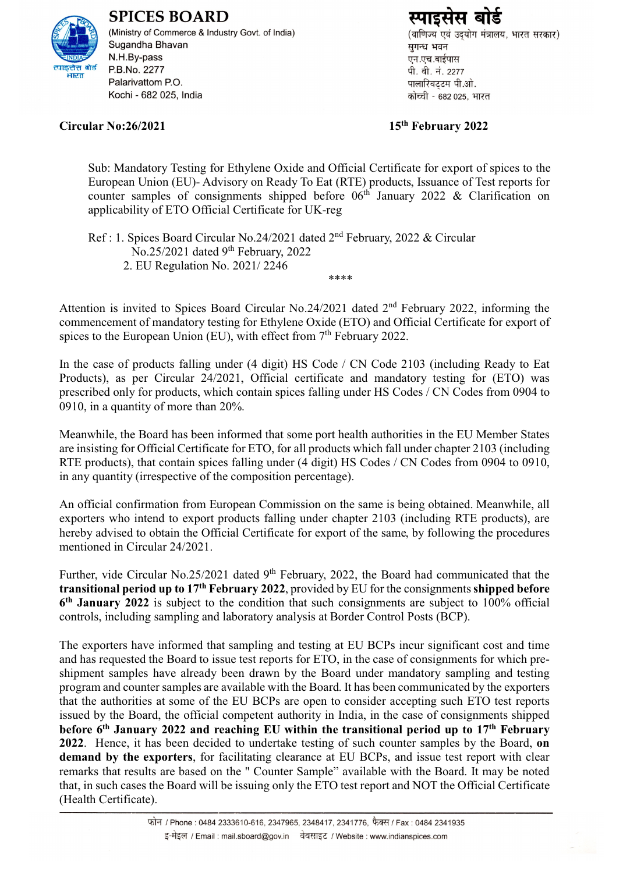

**SPICES BOARD** (Ministry of Commerce & Industry Govt. of India) Sugandha Bhavan N.H.By-pass P.B.No. 2277 Palarivattom P.O. Kochi - 682 025, India

## **Circular No:26/2021 15**

(वाणिज्य एवं उदयोग मंत्रालय, भारत सरकार) सुगन्ध भवन एन.एच.बाईपास पी. बी. नं. 2277 पालारिवटटम पी.ओ. कोच्ची - 682 025. भारत

## **th February 2022**

Sub: Mandatory Testing for Ethylene Oxide and Official Certificate for export of spices to the European Union (EU)- Advisory on Ready To Eat (RTE) products, Issuance of Test reports for counter samples of consignments shipped before  $06<sup>th</sup>$  January 2022 & Clarification on applicability of ETO Official Certificate for UK-reg

Ref : 1. Spices Board Circular No.24/2021 dated 2<sup>nd</sup> February, 2022 & Circular No.25/2021 dated 9<sup>th</sup> February, 2022 2. EU Regulation No. 2021/ 2246 \*\*\*\*

Attention is invited to Spices Board Circular No.24/2021 dated 2<sup>nd</sup> February 2022, informing the commencement of mandatory testing for Ethylene Oxide (ETO) and Official Certificate for export of spices to the European Union (EU), with effect from 7<sup>th</sup> February 2022.

In the case of products falling under (4 digit) HS Code / CN Code 2103 (including Ready to Eat Products), as per Circular 24/2021, Official certificate and mandatory testing for (ETO) was prescribed only for products, which contain spices falling under HS Codes / CN Codes from 0904 to 0910, in a quantity of more than 20%.

Meanwhile, the Board has been informed that some port health authorities in the EU Member States are insisting for Official Certificate for ETO, for all products which fall under chapter 2103 (including RTE products), that contain spices falling under (4 digit) HS Codes / CN Codes from 0904 to 0910, in any quantity (irrespective of the composition percentage).

An official confirmation from European Commission on the same is being obtained. Meanwhile, all exporters who intend to export products falling under chapter 2103 (including RTE products), are hereby advised to obtain the Official Certificate for export of the same, by following the procedures mentioned in Circular 24/2021.

Further, vide Circular No.25/2021 dated 9<sup>th</sup> February, 2022, the Board had communicated that the **transitional period up to 17th February 2022**, provided by EU for the consignments **shipped before 6 th January 2022** is subject to the condition that such consignments are subject to 100% official controls, including sampling and laboratory analysis at Border Control Posts (BCP).

The exporters have informed that sampling and testing at EU BCPs incur significant cost and time and has requested the Board to issue test reports for ETO, in the case of consignments for which preshipment samples have already been drawn by the Board under mandatory sampling and testing program and counter samples are available with the Board. It has been communicated by the exporters that the authorities at some of the EU BCPs are open to consider accepting such ETO test reports issued by the Board, the official competent authority in India, in the case of consignments shipped **before 6 th January 2022 and reaching EU within the transitional period up to 17th February 2022**. Hence, it has been decided to undertake testing of such counter samples by the Board, **on demand by the exporters**, for facilitating clearance at EU BCPs, and issue test report with clear remarks that results are based on the " Counter Sample" available with the Board. It may be noted that, in such cases the Board will be issuing only the ETO test report and NOT the Official Certificate (Health Certificate).